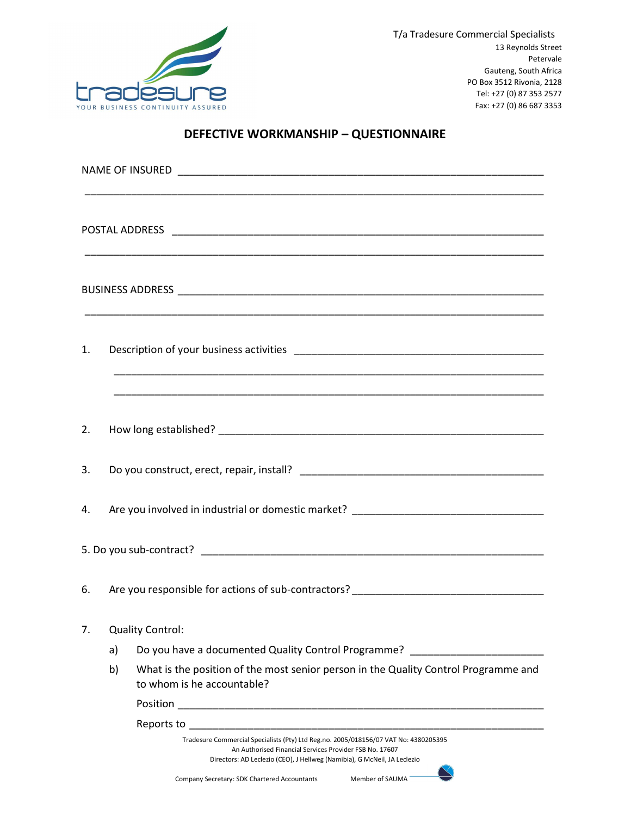

## DEFECTIVE WORKMANSHIP – QUESTIONNAIRE

| <u> 1989 - Johann Stoff, amerikansk politiker (d. 1989)</u> |                                                                                   |                                                                                                                                                                                                                             |  |  |  |
|-------------------------------------------------------------|-----------------------------------------------------------------------------------|-----------------------------------------------------------------------------------------------------------------------------------------------------------------------------------------------------------------------------|--|--|--|
|                                                             |                                                                                   |                                                                                                                                                                                                                             |  |  |  |
|                                                             |                                                                                   |                                                                                                                                                                                                                             |  |  |  |
| 1.                                                          |                                                                                   |                                                                                                                                                                                                                             |  |  |  |
| 2.                                                          |                                                                                   |                                                                                                                                                                                                                             |  |  |  |
| 3.                                                          |                                                                                   |                                                                                                                                                                                                                             |  |  |  |
| 4.                                                          | Are you involved in industrial or domestic market? _____________________________  |                                                                                                                                                                                                                             |  |  |  |
|                                                             |                                                                                   |                                                                                                                                                                                                                             |  |  |  |
| 6.                                                          | Are you responsible for actions of sub-contractors? _____________________________ |                                                                                                                                                                                                                             |  |  |  |
| 7.                                                          |                                                                                   | <b>Quality Control:</b>                                                                                                                                                                                                     |  |  |  |
|                                                             | a)                                                                                | Do you have a documented Quality Control Programme? ____________________________                                                                                                                                            |  |  |  |
|                                                             | b)                                                                                | What is the position of the most senior person in the Quality Control Programme and<br>to whom is he accountable?                                                                                                           |  |  |  |
|                                                             |                                                                                   |                                                                                                                                                                                                                             |  |  |  |
|                                                             |                                                                                   |                                                                                                                                                                                                                             |  |  |  |
|                                                             |                                                                                   | Tradesure Commercial Specialists (Pty) Ltd Reg.no. 2005/018156/07 VAT No: 4380205395<br>An Authorised Financial Services Provider FSB No. 17607<br>Directors: AD Leclezio (CEO), J Hellweg (Namibia), G McNeil, JA Leclezio |  |  |  |
|                                                             |                                                                                   | Company Secretary: SDK Chartered Accountants<br>Member of SAUMA                                                                                                                                                             |  |  |  |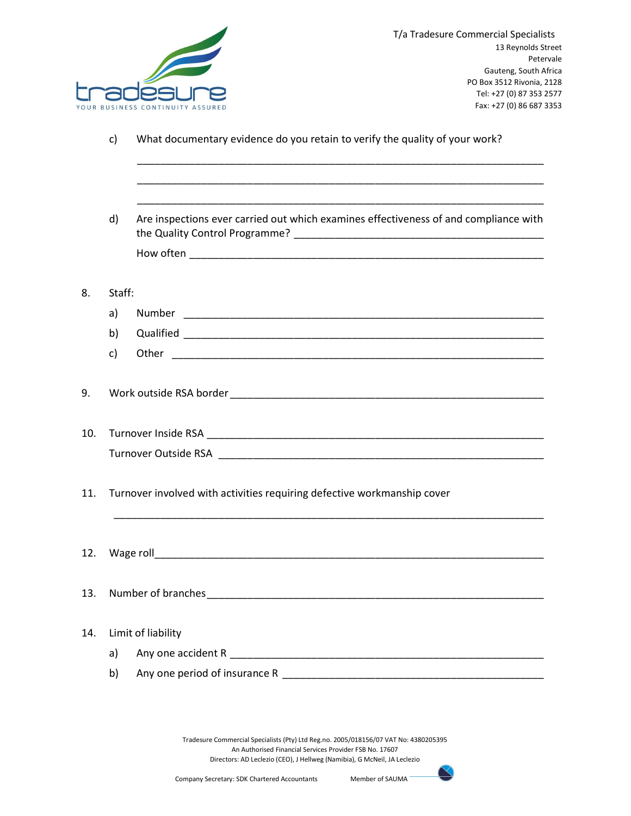

c) What documentary evidence do you retain to verify the quality of your work?

 d) Are inspections ever carried out which examines effectiveness of and compliance with the Quality Control Programme? \_\_\_\_\_\_\_\_\_\_\_\_\_\_\_\_\_\_\_\_\_\_\_\_\_\_\_\_\_\_\_\_\_\_\_\_\_\_\_\_\_\_\_ How often \_\_\_\_\_\_\_\_\_\_\_\_\_\_\_\_\_\_\_\_\_\_\_\_\_\_\_\_\_\_\_\_\_\_\_\_\_\_\_\_\_\_\_\_\_\_\_\_\_\_\_\_\_\_\_\_\_\_\_\_\_

 \_\_\_\_\_\_\_\_\_\_\_\_\_\_\_\_\_\_\_\_\_\_\_\_\_\_\_\_\_\_\_\_\_\_\_\_\_\_\_\_\_\_\_\_\_\_\_\_\_\_\_\_\_\_\_\_\_\_\_\_\_\_\_\_\_\_\_\_\_\_ \_\_\_\_\_\_\_\_\_\_\_\_\_\_\_\_\_\_\_\_\_\_\_\_\_\_\_\_\_\_\_\_\_\_\_\_\_\_\_\_\_\_\_\_\_\_\_\_\_\_\_\_\_\_\_\_\_\_\_\_\_\_\_\_\_\_\_\_\_\_ \_\_\_\_\_\_\_\_\_\_\_\_\_\_\_\_\_\_\_\_\_\_\_\_\_\_\_\_\_\_\_\_\_\_\_\_\_\_\_\_\_\_\_\_\_\_\_\_\_\_\_\_\_\_\_\_\_\_\_\_\_\_\_\_\_\_\_\_\_\_

8. Staff:

a) Number \_\_\_\_\_\_\_\_\_\_\_\_\_\_\_\_\_\_\_\_\_\_\_\_\_\_\_\_\_\_\_\_\_\_\_\_\_\_\_\_\_\_\_\_\_\_\_\_\_\_\_\_\_\_\_\_\_\_\_\_\_\_ b) Qualified **Qualified** c) Other **charge of the contract of the contract of the contract of the contract of the contract of the contract of the contract of the contract of the contract of the contract of the contract of the contract of the contra** 

9. Work outside RSA border \_\_\_\_\_\_\_\_\_\_\_\_\_\_\_\_\_\_\_\_\_\_\_\_\_\_\_\_\_\_\_\_\_\_\_\_\_\_\_\_\_\_\_\_\_\_\_\_\_\_\_\_\_\_

10. Turnover Inside RSA \_\_\_\_\_\_\_\_\_\_\_\_\_\_\_\_\_\_\_\_\_\_\_\_\_\_\_\_\_\_\_\_\_\_\_\_\_\_\_\_\_\_\_\_\_\_\_\_\_\_\_\_\_\_\_\_\_\_ Turnover Outside RSA **Exercise 1988** 

11. Turnover involved with activities requiring defective workmanship cover

- $\blacksquare$  2. Wage roll  $\blacksquare$
- 13. Number of branches \_\_\_\_\_\_\_\_\_\_\_\_\_\_\_\_\_\_\_\_\_\_\_\_\_\_\_\_\_\_\_\_\_\_\_\_\_\_\_\_\_\_\_\_\_\_\_\_\_\_\_\_\_\_\_\_\_\_

## 14. Limit of liability

- a) Any one accident R \_\_\_\_\_\_\_\_\_\_\_\_\_\_\_\_\_\_\_\_\_\_\_\_\_\_\_\_\_\_\_\_\_\_\_\_\_\_\_\_\_\_\_\_\_\_\_\_\_\_\_\_\_\_
- b) Any one period of insurance R **with any one period** of insurance R

Tradesure Commercial Specialists (Pty) Ltd Reg.no. 2005/018156/07 VAT No: 4380205395 An Authorised Financial Services Provider FSB No. 17607 Directors: AD Leclezio (CEO), J Hellweg (Namibia), G McNeil, JA Leclezio